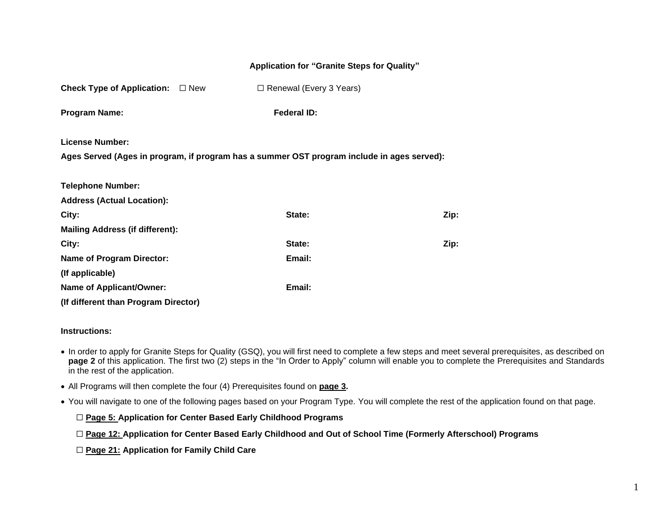#### **Application for "Granite Steps for Quality"**

**Check Type of Application:** ☐ New ☐ Renewal (Every 3 Years)

**Program Name: Federal ID: Federal ID:** 

**License Number:**

**Ages Served (Ages in program, if program has a summer OST program include in ages served):** 

| <b>Telephone Number:</b>               |        |      |
|----------------------------------------|--------|------|
| <b>Address (Actual Location):</b>      |        |      |
| City:                                  | State: | Zip: |
| <b>Mailing Address (if different):</b> |        |      |
| City:                                  | State: | Zip: |
| <b>Name of Program Director:</b>       | Email: |      |
| (If applicable)                        |        |      |
| <b>Name of Applicant/Owner:</b>        | Email: |      |
| (If different than Program Director)   |        |      |

#### **Instructions:**

- In order to apply for Granite Steps for Quality (GSQ), you will first need to complete a few steps and meet several prerequisites, as described on **page 2** of this application. The first two (2) steps in the "In Order to Apply" column will enable you to complete the Prerequisites and Standards in the rest of the application.
- All Programs will then complete the four (4) Prerequisites found on **[page 3.](#page-1-0)**
- You will navigate to one of the following pages based on your Program Type. You will complete the rest of the application found on that page.

☐ **[Page 5: Application for Center Based Early Childhood Programs](#page-4-0)**

- ☐ **[Page 12: A](#page-13-0)pplication for Center Based Early Childhood and Out of School Time (Formerly Afterschool) Programs**
- ☐ **Page 21: [Application for Family Child Care](#page-22-0)**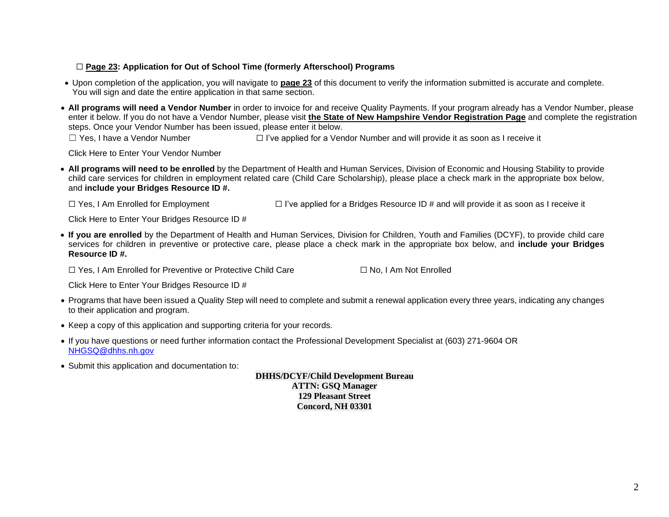### ☐ **[Page 23: Application for Out of School Time \(formerly Afterschool\) Programs](#page-23-0)**

- Upon completion of the application, you will navigate to **[page 23](#page-27-0)** of this document to verify the information submitted is accurate and complete. You will sign and date the entire application in that same section.
- **All programs will need a Vendor Number** in order to invoice for and receive Quality Payments. If your program already has a Vendor Number, please enter it below. If you do not have a Vendor Number, please visit **the State of New Hampshire Vendor [Registration](https://das.nh.gov/purchasing/vendorregistration/(S(jjmsoyqnwl2npmiqrtqxuuuw))/entryform.aspx#no-back-button) Page** and complete the registration steps. Once your Vendor Number has been issued, please enter it below.

☐ Yes, I have a Vendor Number ☐ I've applied for a Vendor Number and will provide it as soon as I receive it

Click Here to Enter Your Vendor Number

• **All programs will need to be enrolled** by the Department of Health and Human Services, Division of Economic and Housing Stability to provide child care services for children in employment related care (Child Care Scholarship), please place a check mark in the appropriate box below, and **include your Bridges Resource ID #.**

☐ Yes, I Am Enrolled for Employment ☐ I've applied for a Bridges Resource ID # and will provide it as soon as I receive it

Click Here to Enter Your Bridges Resource ID #

• **If you are enrolled** by the Department of Health and Human Services, Division for Children, Youth and Families (DCYF), to provide child care services for children in preventive or protective care, please place a check mark in the appropriate box below, and **include your Bridges Resource ID #.**

☐ Yes, I Am Enrolled for Preventive or Protective Child Care ☐ No, I Am Not Enrolled

Click Here to Enter Your Bridges Resource ID #

- Programs that have been issued a Quality Step will need to complete and submit a renewal application every three years, indicating any changes to their application and program.
- Keep a copy of this application and supporting criteria for your records.
- If you have questions or need further information contact the Professional Development Specialist at (603) 271-9604 OR [NHGSQ@dhhs.nh.gov](mailto:NHGSQ@dhhs.nh.gov)
- <span id="page-1-0"></span>• Submit this application and documentation to:

**DHHS/DCYF/Child Development Bureau ATTN: GSQ Manager 129 Pleasant Street Concord, NH 03301**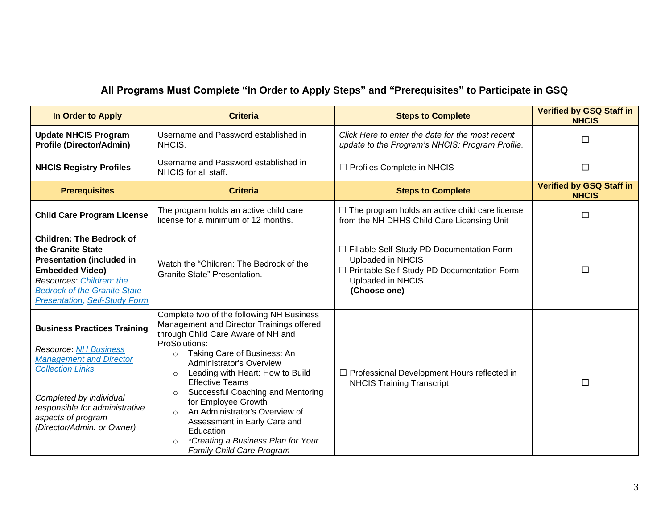# **All Programs Must Complete "In Order to Apply Steps" and "Prerequisites" to Participate in GSQ**

| In Order to Apply                                                                                                                                                                                                                                | <b>Criteria</b>                                                                                                                                                                                                                                                                                                                                                                                                                                                                                                                                           | <b>Steps to Complete</b>                                                                                                                              | <b>Verified by GSQ Staff in</b><br><b>NHCIS</b> |
|--------------------------------------------------------------------------------------------------------------------------------------------------------------------------------------------------------------------------------------------------|-----------------------------------------------------------------------------------------------------------------------------------------------------------------------------------------------------------------------------------------------------------------------------------------------------------------------------------------------------------------------------------------------------------------------------------------------------------------------------------------------------------------------------------------------------------|-------------------------------------------------------------------------------------------------------------------------------------------------------|-------------------------------------------------|
| <b>Update NHCIS Program</b><br><b>Profile (Director/Admin)</b>                                                                                                                                                                                   | Username and Password established in<br>NHCIS.                                                                                                                                                                                                                                                                                                                                                                                                                                                                                                            | Click Here to enter the date for the most recent<br>update to the Program's NHCIS: Program Profile.                                                   | □                                               |
| <b>NHCIS Registry Profiles</b>                                                                                                                                                                                                                   | Username and Password established in<br>NHCIS for all staff.                                                                                                                                                                                                                                                                                                                                                                                                                                                                                              | □ Profiles Complete in NHCIS                                                                                                                          | $\Box$                                          |
| <b>Prerequisites</b>                                                                                                                                                                                                                             | <b>Criteria</b>                                                                                                                                                                                                                                                                                                                                                                                                                                                                                                                                           | <b>Steps to Complete</b>                                                                                                                              | <b>Verified by GSQ Staff in</b><br><b>NHCIS</b> |
| <b>Child Care Program License</b>                                                                                                                                                                                                                | The program holds an active child care<br>license for a minimum of 12 months.                                                                                                                                                                                                                                                                                                                                                                                                                                                                             | $\Box$ The program holds an active child care license<br>from the NH DHHS Child Care Licensing Unit                                                   | □                                               |
| <b>Children: The Bedrock of</b><br>the Granite State<br><b>Presentation (included in</b><br><b>Embedded Video)</b><br>Resources: Children: the<br><b>Bedrock of the Granite State</b><br><b>Presentation, Self-Study Form</b>                    | Watch the "Children: The Bedrock of the<br>Granite State" Presentation.                                                                                                                                                                                                                                                                                                                                                                                                                                                                                   | □ Fillable Self-Study PD Documentation Form<br>Uploaded in NHCIS<br>□ Printable Self-Study PD Documentation Form<br>Uploaded in NHCIS<br>(Choose one) | $\Box$                                          |
| <b>Business Practices Training</b><br><b>Resource: NH Business</b><br><b>Management and Director</b><br><b>Collection Links</b><br>Completed by individual<br>responsible for administrative<br>aspects of program<br>(Director/Admin. or Owner) | Complete two of the following NH Business<br>Management and Director Trainings offered<br>through Child Care Aware of NH and<br>ProSolutions:<br>Taking Care of Business: An<br>$\circ$<br><b>Administrator's Overview</b><br>Leading with Heart: How to Build<br>$\circ$<br><b>Effective Teams</b><br>Successful Coaching and Mentoring<br>$\circ$<br>for Employee Growth<br>An Administrator's Overview of<br>$\circ$<br>Assessment in Early Care and<br>Education<br>*Creating a Business Plan for Your<br>$\circ$<br><b>Family Child Care Program</b> | □ Professional Development Hours reflected in<br><b>NHCIS Training Transcript</b>                                                                     | □                                               |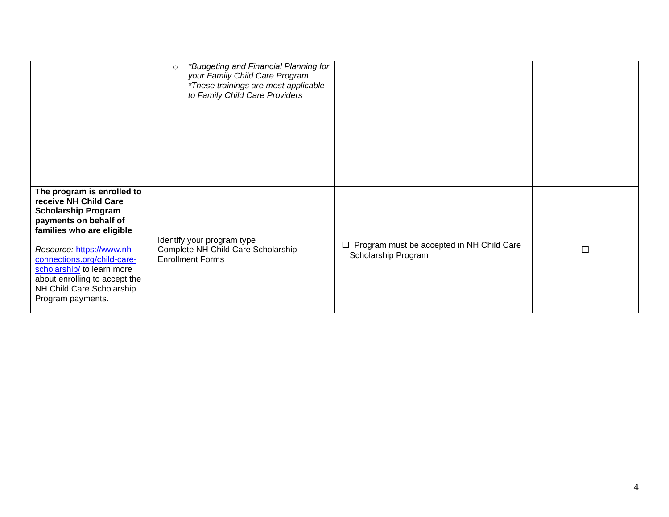|                                                                                                                                                                                                                                                                                                                      | *Budgeting and Financial Planning for<br>$\circ$<br>your Family Child Care Program<br>*These trainings are most applicable<br>to Family Child Care Providers |                                                                         |   |
|----------------------------------------------------------------------------------------------------------------------------------------------------------------------------------------------------------------------------------------------------------------------------------------------------------------------|--------------------------------------------------------------------------------------------------------------------------------------------------------------|-------------------------------------------------------------------------|---|
| The program is enrolled to<br>receive NH Child Care<br><b>Scholarship Program</b><br>payments on behalf of<br>families who are eligible<br>Resource: https://www.nh-<br>connections.org/child-care-<br>scholarship/ to learn more<br>about enrolling to accept the<br>NH Child Care Scholarship<br>Program payments. | Identify your program type<br>Complete NH Child Care Scholarship<br><b>Enrollment Forms</b>                                                                  | $\Box$ Program must be accepted in NH Child Care<br>Scholarship Program | □ |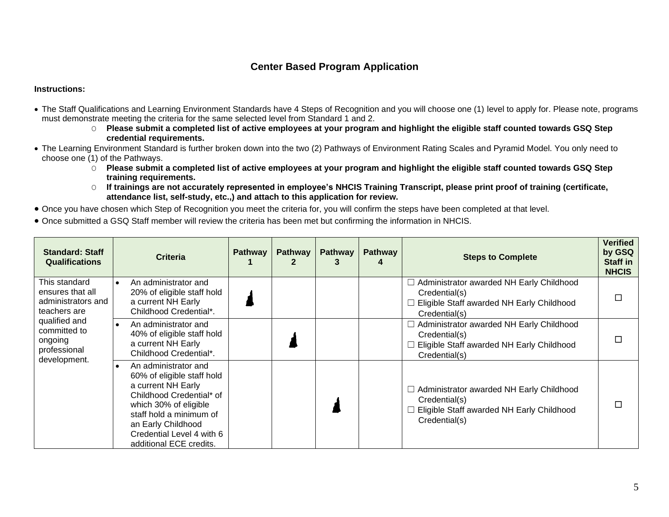### **Center Based Program Application**

- <span id="page-4-0"></span>• The Staff Qualifications and Learning Environment Standards have 4 Steps of Recognition and you will choose one (1) level to apply for. Please note, programs must demonstrate meeting the criteria for the same selected level from Standard 1 and 2.
	- O **Please submit a completed list of active employees at your program and highlight the eligible staff counted towards GSQ Step credential requirements.**
- The Learning Environment Standard is further broken down into the two (2) Pathways of Environment Rating Scales and Pyramid Model. You only need to choose one (1) of the Pathways.
	- O **Please submit a completed list of active employees at your program and highlight the eligible staff counted towards GSQ Step training requirements.**
	- O **If trainings are not accurately represented in employee's NHCIS Training Transcript, please print proof of training (certificate, attendance list, self-study, etc.,) and attach to this application for review.**
- Once you have chosen which Step of Recognition you meet the criteria for, you will confirm the steps have been completed at that level.
- Once submitted a GSQ Staff member will review the criteria has been met but confirming the information in NHCIS.

| <b>Standard: Staff</b><br><b>Qualifications</b>                          |           | <b>Criteria</b>                                                                                                                                                                                                                        | <b>Pathway</b> | <b>Pathway</b> | <b>Pathway</b><br>3 | <b>Pathway</b> | <b>Steps to Complete</b>                                                                                                       | <b>Verified</b><br>by GSQ<br><b>Staff in</b><br><b>NHCIS</b> |
|--------------------------------------------------------------------------|-----------|----------------------------------------------------------------------------------------------------------------------------------------------------------------------------------------------------------------------------------------|----------------|----------------|---------------------|----------------|--------------------------------------------------------------------------------------------------------------------------------|--------------------------------------------------------------|
| This standard<br>ensures that all<br>administrators and<br>teachers are  | $\bullet$ | An administrator and<br>20% of eligible staff hold<br>a current NH Early<br>Childhood Credential*.                                                                                                                                     |                |                |                     |                | $\Box$ Administrator awarded NH Early Childhood<br>Credential(s)<br>Eligible Staff awarded NH Early Childhood<br>Credential(s) |                                                              |
| qualified and<br>committed to<br>ongoing<br>professional<br>development. |           | An administrator and<br>40% of eligible staff hold<br>a current NH Early<br>Childhood Credential*.                                                                                                                                     |                |                |                     |                | □ Administrator awarded NH Early Childhood<br>Credential(s)<br>Eligible Staff awarded NH Early Childhood<br>Credential(s)      |                                                              |
|                                                                          |           | An administrator and<br>60% of eligible staff hold<br>a current NH Early<br>Childhood Credential* of<br>which 30% of eligible<br>staff hold a minimum of<br>an Early Childhood<br>Credential Level 4 with 6<br>additional ECE credits. |                |                |                     |                | $\Box$ Administrator awarded NH Early Childhood<br>Credential(s)<br>Eligible Staff awarded NH Early Childhood<br>Credential(s) |                                                              |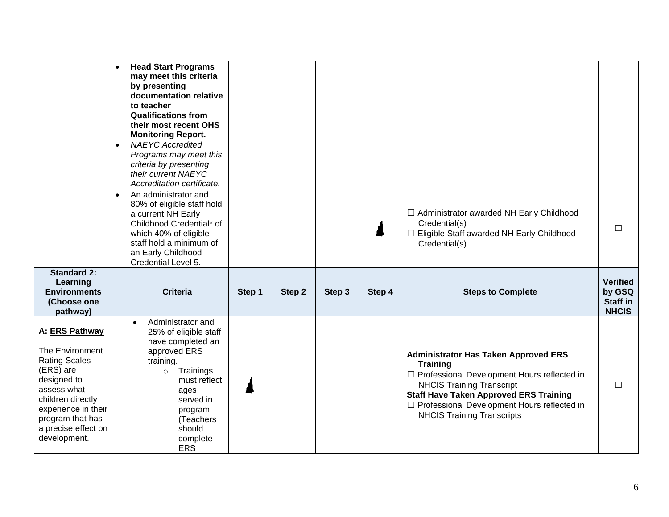|                                                                                                                                                                                                             | <b>Head Start Programs</b><br>may meet this criteria<br>by presenting<br>documentation relative<br>to teacher<br><b>Qualifications from</b><br>their most recent OHS<br><b>Monitoring Report.</b><br><b>NAEYC Accredited</b><br>$\bullet$<br>Programs may meet this<br>criteria by presenting<br>their current NAEYC<br>Accreditation certificate. |        |        |        |        |                                                                                                                                                                                                                                                                                            |                                                       |
|-------------------------------------------------------------------------------------------------------------------------------------------------------------------------------------------------------------|----------------------------------------------------------------------------------------------------------------------------------------------------------------------------------------------------------------------------------------------------------------------------------------------------------------------------------------------------|--------|--------|--------|--------|--------------------------------------------------------------------------------------------------------------------------------------------------------------------------------------------------------------------------------------------------------------------------------------------|-------------------------------------------------------|
|                                                                                                                                                                                                             | An administrator and<br>$\bullet$<br>80% of eligible staff hold<br>a current NH Early<br>Childhood Credential* of<br>which 40% of eligible<br>staff hold a minimum of<br>an Early Childhood<br>Credential Level 5.                                                                                                                                 |        |        |        |        | □ Administrator awarded NH Early Childhood<br>Credential(s)<br>□ Eligible Staff awarded NH Early Childhood<br>Credential(s)                                                                                                                                                                | □                                                     |
| <b>Standard 2:</b><br>Learning<br><b>Environments</b><br>(Choose one<br>pathway)                                                                                                                            | <b>Criteria</b>                                                                                                                                                                                                                                                                                                                                    | Step 1 | Step 2 | Step 3 | Step 4 | <b>Steps to Complete</b>                                                                                                                                                                                                                                                                   | <b>Verified</b><br>by GSQ<br>Staff in<br><b>NHCIS</b> |
| A: ERS Pathway<br>The Environment<br><b>Rating Scales</b><br>(ERS) are<br>designed to<br>assess what<br>children directly<br>experience in their<br>program that has<br>a precise effect on<br>development. | Administrator and<br>$\bullet$<br>25% of eligible staff<br>have completed an<br>approved ERS<br>training.<br>Trainings<br>$\circ$<br>must reflect<br>ages<br>served in<br>program<br>(Teachers<br>should<br>complete<br><b>ERS</b>                                                                                                                 |        |        |        |        | <b>Administrator Has Taken Approved ERS</b><br><b>Training</b><br>□ Professional Development Hours reflected in<br><b>NHCIS Training Transcript</b><br><b>Staff Have Taken Approved ERS Training</b><br>□ Professional Development Hours reflected in<br><b>NHCIS Training Transcripts</b> | □                                                     |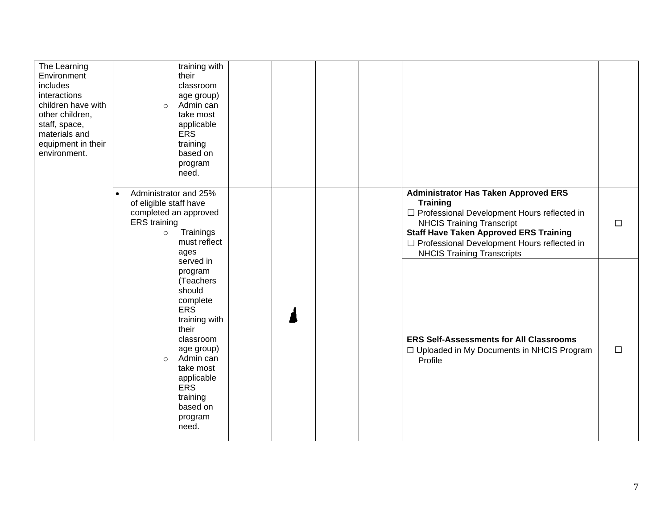| The Learning<br>Environment<br>includes<br>interactions<br>children have with<br>other children,<br>staff, space,<br>materials and<br>equipment in their<br>environment. | training with<br>their<br>classroom<br>age group)<br>Admin can<br>$\circ$<br>take most<br>applicable<br><b>ERS</b><br>training<br>based on<br>program<br>need.                                                                          |                                                                                                                                                                                                                                                                                            |        |
|--------------------------------------------------------------------------------------------------------------------------------------------------------------------------|-----------------------------------------------------------------------------------------------------------------------------------------------------------------------------------------------------------------------------------------|--------------------------------------------------------------------------------------------------------------------------------------------------------------------------------------------------------------------------------------------------------------------------------------------|--------|
|                                                                                                                                                                          | Administrator and 25%<br>$\bullet$<br>of eligible staff have<br>completed an approved<br><b>ERS</b> training<br>Trainings<br>$\circ$<br>must reflect<br>ages                                                                            | <b>Administrator Has Taken Approved ERS</b><br><b>Training</b><br>□ Professional Development Hours reflected in<br><b>NHCIS Training Transcript</b><br><b>Staff Have Taken Approved ERS Training</b><br>□ Professional Development Hours reflected in<br><b>NHCIS Training Transcripts</b> | $\Box$ |
|                                                                                                                                                                          | served in<br>program<br>(Teachers<br>should<br>complete<br><b>ERS</b><br>training with<br>their<br>classroom<br>age group)<br>Admin can<br>$\circ$<br>take most<br>applicable<br><b>ERS</b><br>training<br>based on<br>program<br>need. | <b>ERS Self-Assessments for All Classrooms</b><br>□ Uploaded in My Documents in NHCIS Program<br>Profile                                                                                                                                                                                   | $\Box$ |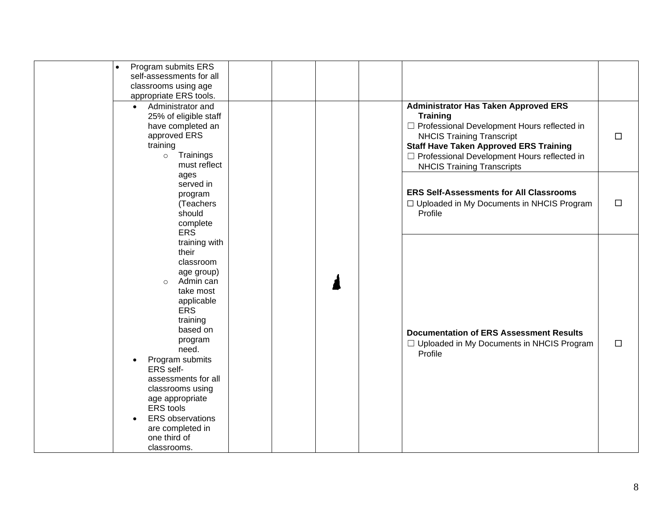| $\bullet$ | Program submits ERS<br>self-assessments for all<br>classrooms using age<br>appropriate ERS tools.                                                                                                                                                                                                                                                              |  |  |                                                                                                                                                                                                                                                                                            |        |
|-----------|----------------------------------------------------------------------------------------------------------------------------------------------------------------------------------------------------------------------------------------------------------------------------------------------------------------------------------------------------------------|--|--|--------------------------------------------------------------------------------------------------------------------------------------------------------------------------------------------------------------------------------------------------------------------------------------------|--------|
|           | Administrator and<br>$\bullet$<br>25% of eligible staff<br>have completed an<br>approved ERS<br>training<br>Trainings<br>$\circ$<br>must reflect                                                                                                                                                                                                               |  |  | <b>Administrator Has Taken Approved ERS</b><br><b>Training</b><br>□ Professional Development Hours reflected in<br><b>NHCIS Training Transcript</b><br><b>Staff Have Taken Approved ERS Training</b><br>□ Professional Development Hours reflected in<br><b>NHCIS Training Transcripts</b> | $\Box$ |
|           | ages<br>served in<br>program<br>(Teachers<br>should<br>complete<br><b>ERS</b>                                                                                                                                                                                                                                                                                  |  |  | <b>ERS Self-Assessments for All Classrooms</b><br>□ Uploaded in My Documents in NHCIS Program<br>Profile                                                                                                                                                                                   | $\Box$ |
|           | training with<br>their<br>classroom<br>age group)<br>Admin can<br>$\circ$<br>take most<br>applicable<br><b>ERS</b><br>training<br>based on<br>program<br>need.<br>Program submits<br>ERS self-<br>assessments for all<br>classrooms using<br>age appropriate<br><b>ERS</b> tools<br><b>ERS</b> observations<br>are completed in<br>one third of<br>classrooms. |  |  | <b>Documentation of ERS Assessment Results</b><br>□ Uploaded in My Documents in NHCIS Program<br>Profile                                                                                                                                                                                   | $\Box$ |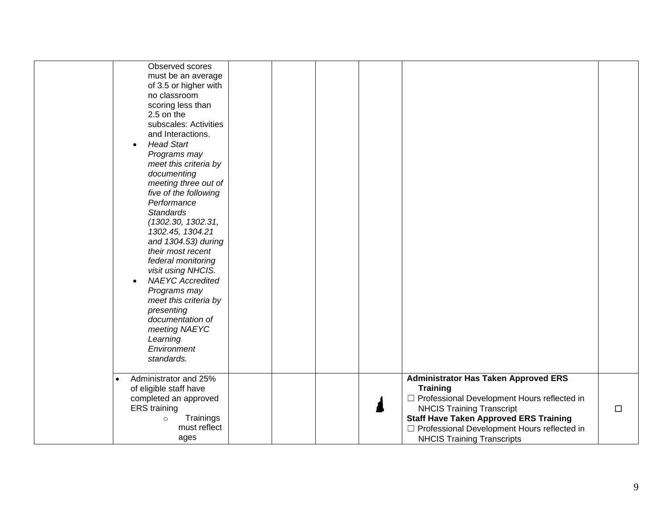| Observed scores<br>must be an average<br>of 3.5 or higher with<br>no classroom<br>scoring less than<br>2.5 on the<br>subscales: Activities<br>and Interactions.<br><b>Head Start</b><br>$\bullet$<br>Programs may<br>meet this criteria by<br>documenting<br>meeting three out of<br>five of the following<br>Performance<br><b>Standards</b><br>(1302.30, 1302.31,<br>1302.45, 1304.21<br>and 1304.53) during<br>their most recent<br>federal monitoring<br>visit using NHCIS.<br><b>NAEYC</b> Accredited<br>Programs may<br>meet this criteria by<br>presenting<br>documentation of<br>meeting NAEYC<br>Learning<br>Environment |                                                                                                                                                                                                                                                                                            |        |
|-----------------------------------------------------------------------------------------------------------------------------------------------------------------------------------------------------------------------------------------------------------------------------------------------------------------------------------------------------------------------------------------------------------------------------------------------------------------------------------------------------------------------------------------------------------------------------------------------------------------------------------|--------------------------------------------------------------------------------------------------------------------------------------------------------------------------------------------------------------------------------------------------------------------------------------------|--------|
| standards.                                                                                                                                                                                                                                                                                                                                                                                                                                                                                                                                                                                                                        |                                                                                                                                                                                                                                                                                            |        |
| Administrator and 25%<br>$\bullet$<br>of eligible staff have<br>completed an approved<br><b>ERS</b> training<br>Trainings<br>$\circ$<br>must reflect<br>ages                                                                                                                                                                                                                                                                                                                                                                                                                                                                      | <b>Administrator Has Taken Approved ERS</b><br><b>Training</b><br>□ Professional Development Hours reflected in<br><b>NHCIS Training Transcript</b><br><b>Staff Have Taken Approved ERS Training</b><br>□ Professional Development Hours reflected in<br><b>NHCIS Training Transcripts</b> | $\Box$ |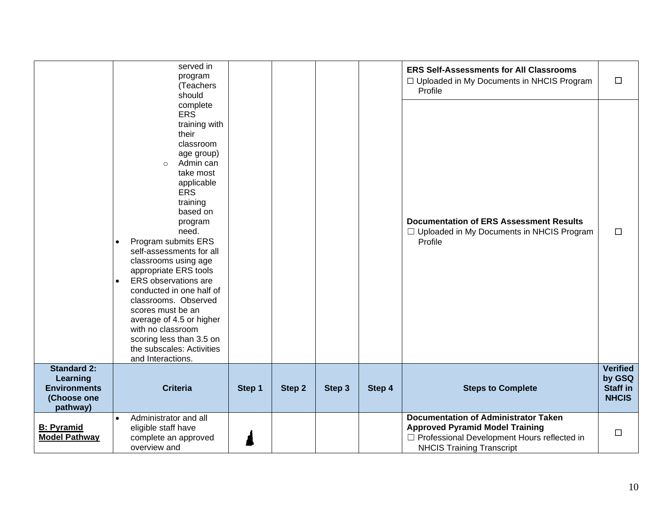|                                                                                  |                        | served in<br>program<br>(Teachers<br>should                                                                                                                                                                                                                                                                                                                                                                                                                                                                                  |        |        |        |        | <b>ERS Self-Assessments for All Classrooms</b><br>□ Uploaded in My Documents in NHCIS Program<br>Profile                                                                   | $\Box$                                                       |
|----------------------------------------------------------------------------------|------------------------|------------------------------------------------------------------------------------------------------------------------------------------------------------------------------------------------------------------------------------------------------------------------------------------------------------------------------------------------------------------------------------------------------------------------------------------------------------------------------------------------------------------------------|--------|--------|--------|--------|----------------------------------------------------------------------------------------------------------------------------------------------------------------------------|--------------------------------------------------------------|
|                                                                                  | $\bullet$<br>$\bullet$ | complete<br><b>ERS</b><br>training with<br>their<br>classroom<br>age group)<br>Admin can<br>$\circ$<br>take most<br>applicable<br><b>ERS</b><br>training<br>based on<br>program<br>need.<br>Program submits ERS<br>self-assessments for all<br>classrooms using age<br>appropriate ERS tools<br>ERS observations are<br>conducted in one half of<br>classrooms. Observed<br>scores must be an<br>average of 4.5 or higher<br>with no classroom<br>scoring less than 3.5 on<br>the subscales: Activities<br>and Interactions. |        |        |        |        | <b>Documentation of ERS Assessment Results</b><br>$\Box$ Uploaded in My Documents in NHCIS Program<br>Profile                                                              | $\Box$                                                       |
| <b>Standard 2:</b><br>Learning<br><b>Environments</b><br>(Choose one<br>pathway) |                        | <b>Criteria</b>                                                                                                                                                                                                                                                                                                                                                                                                                                                                                                              | Step 1 | Step 2 | Step 3 | Step 4 | <b>Steps to Complete</b>                                                                                                                                                   | <b>Verified</b><br>by GSQ<br><b>Staff in</b><br><b>NHCIS</b> |
| <b>B: Pyramid</b><br><b>Model Pathway</b>                                        | $\bullet$              | Administrator and all<br>eligible staff have<br>complete an approved<br>overview and                                                                                                                                                                                                                                                                                                                                                                                                                                         |        |        |        |        | <b>Documentation of Administrator Taken</b><br><b>Approved Pyramid Model Training</b><br>□ Professional Development Hours reflected in<br><b>NHCIS Training Transcript</b> | $\Box$                                                       |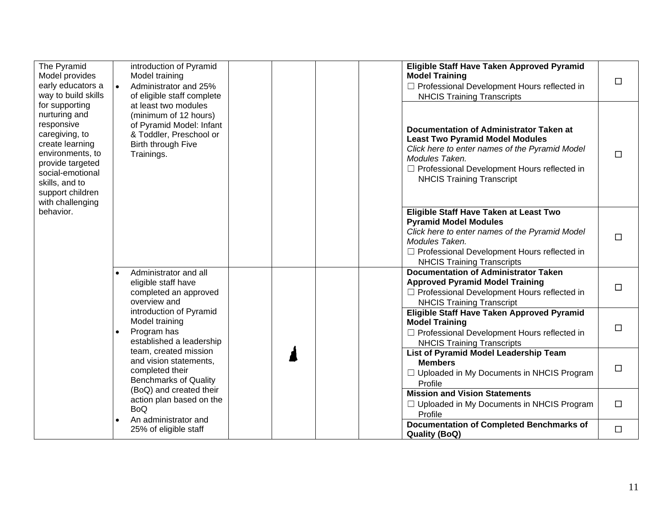| The Pyramid<br>Model provides<br>early educators a<br>way to build skills                                                                                                                                | $\bullet$                                                                                          | introduction of Pyramid<br>Model training<br>Administrator and 25%<br>of eligible staff complete                                         |                                                                                                                   | Eligible Staff Have Taken Approved Pyramid<br><b>Model Training</b><br>□ Professional Development Hours reflected in<br><b>NHCIS Training Transcripts</b>                                                                                       | $\Box$ |
|----------------------------------------------------------------------------------------------------------------------------------------------------------------------------------------------------------|----------------------------------------------------------------------------------------------------|------------------------------------------------------------------------------------------------------------------------------------------|-------------------------------------------------------------------------------------------------------------------|-------------------------------------------------------------------------------------------------------------------------------------------------------------------------------------------------------------------------------------------------|--------|
| for supporting<br>nurturing and<br>responsive<br>caregiving, to<br>create learning<br>environments, to<br>provide targeted<br>social-emotional<br>skills, and to<br>support children<br>with challenging |                                                                                                    | at least two modules<br>(minimum of 12 hours)<br>of Pyramid Model: Infant<br>& Toddler, Preschool or<br>Birth through Five<br>Trainings. |                                                                                                                   | Documentation of Administrator Taken at<br><b>Least Two Pyramid Model Modules</b><br>Click here to enter names of the Pyramid Model<br>Modules Taken.<br>$\Box$ Professional Development Hours reflected in<br><b>NHCIS Training Transcript</b> | $\Box$ |
| behavior.                                                                                                                                                                                                |                                                                                                    |                                                                                                                                          |                                                                                                                   | Eligible Staff Have Taken at Least Two<br><b>Pyramid Model Modules</b><br>Click here to enter names of the Pyramid Model<br>Modules Taken.<br>□ Professional Development Hours reflected in<br><b>NHCIS Training Transcripts</b>                | $\Box$ |
|                                                                                                                                                                                                          | $\bullet$                                                                                          | Administrator and all<br>eligible staff have<br>completed an approved<br>overview and                                                    |                                                                                                                   | <b>Documentation of Administrator Taken</b><br><b>Approved Pyramid Model Training</b><br>□ Professional Development Hours reflected in<br><b>NHCIS Training Transcript</b>                                                                      | $\Box$ |
|                                                                                                                                                                                                          | $\bullet$                                                                                          | introduction of Pyramid<br>Model training<br>Program has<br>established a leadership                                                     |                                                                                                                   | Eligible Staff Have Taken Approved Pyramid<br><b>Model Training</b><br>□ Professional Development Hours reflected in<br><b>NHCIS Training Transcripts</b>                                                                                       | □      |
|                                                                                                                                                                                                          | team, created mission<br>and vision statements,<br>completed their<br><b>Benchmarks of Quality</b> |                                                                                                                                          | List of Pyramid Model Leadership Team<br><b>Members</b><br>□ Uploaded in My Documents in NHCIS Program<br>Profile | $\Box$                                                                                                                                                                                                                                          |        |
|                                                                                                                                                                                                          |                                                                                                    | (BoQ) and created their<br>action plan based on the<br><b>BoQ</b>                                                                        |                                                                                                                   | <b>Mission and Vision Statements</b><br>□ Uploaded in My Documents in NHCIS Program<br>Profile                                                                                                                                                  | $\Box$ |
|                                                                                                                                                                                                          |                                                                                                    | An administrator and<br>25% of eligible staff                                                                                            |                                                                                                                   | <b>Documentation of Completed Benchmarks of</b><br><b>Quality (BoQ)</b>                                                                                                                                                                         | $\Box$ |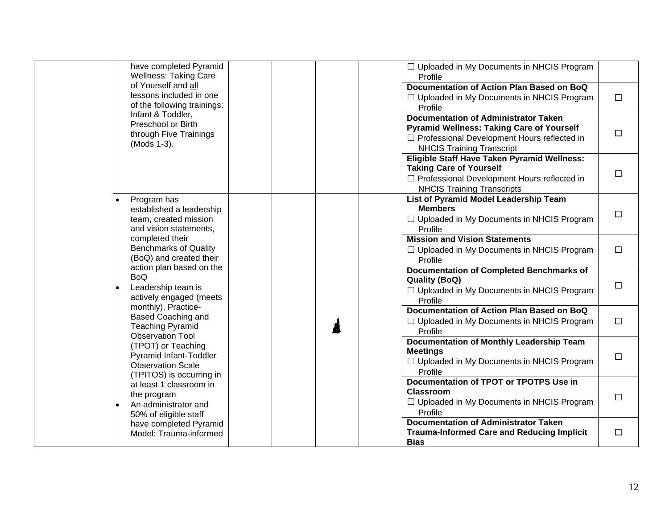| have completed Pyramid<br><b>Wellness: Taking Care</b>                                                 | $\Box$ Uploaded in My Documents in NHCIS Program<br>Profile                                                                                                                          |        |
|--------------------------------------------------------------------------------------------------------|--------------------------------------------------------------------------------------------------------------------------------------------------------------------------------------|--------|
| of Yourself and all<br>lessons included in one<br>of the following trainings:                          | Documentation of Action Plan Based on BoQ<br>$\Box$ Uploaded in My Documents in NHCIS Program<br>Profile                                                                             | $\Box$ |
| Infant & Toddler,<br>Preschool or Birth<br>through Five Trainings<br>(Mods 1-3).                       | <b>Documentation of Administrator Taken</b><br><b>Pyramid Wellness: Taking Care of Yourself</b><br>□ Professional Development Hours reflected in<br><b>NHCIS Training Transcript</b> | □      |
|                                                                                                        | Eligible Staff Have Taken Pyramid Wellness:<br><b>Taking Care of Yourself</b><br>□ Professional Development Hours reflected in<br><b>NHCIS Training Transcripts</b>                  | □      |
| Program has<br>established a leadership<br>team, created mission<br>and vision statements,             | List of Pyramid Model Leadership Team<br><b>Members</b><br>$\Box$ Uploaded in My Documents in NHCIS Program<br>Profile                                                               | □      |
| completed their<br><b>Benchmarks of Quality</b><br>(BoQ) and created their                             | <b>Mission and Vision Statements</b><br>□ Uploaded in My Documents in NHCIS Program<br>Profile                                                                                       | $\Box$ |
| action plan based on the<br><b>BoQ</b><br>Leadership team is<br>actively engaged (meets                | <b>Documentation of Completed Benchmarks of</b><br><b>Quality (BoQ)</b><br>$\Box$ Uploaded in My Documents in NHCIS Program<br>Profile                                               | □      |
| monthly), Practice-<br><b>Based Coaching and</b><br><b>Teaching Pyramid</b><br><b>Observation Tool</b> | Documentation of Action Plan Based on BoQ<br>$\Box$ Uploaded in My Documents in NHCIS Program<br>Profile                                                                             | $\Box$ |
| (TPOT) or Teaching<br>Pyramid Infant-Toddler<br><b>Observation Scale</b><br>(TPITOS) is occurring in   | <b>Documentation of Monthly Leadership Team</b><br><b>Meetings</b><br>$\Box$ Uploaded in My Documents in NHCIS Program<br>Profile                                                    | □      |
| at least 1 classroom in<br>the program<br>An administrator and<br>50% of eligible staff                | Documentation of TPOT or TPOTPS Use in<br><b>Classroom</b><br>□ Uploaded in My Documents in NHCIS Program<br>Profile                                                                 | □      |
| have completed Pyramid<br>Model: Trauma-informed                                                       | <b>Documentation of Administrator Taken</b><br><b>Trauma-Informed Care and Reducing Implicit</b><br><b>Bias</b>                                                                      | □      |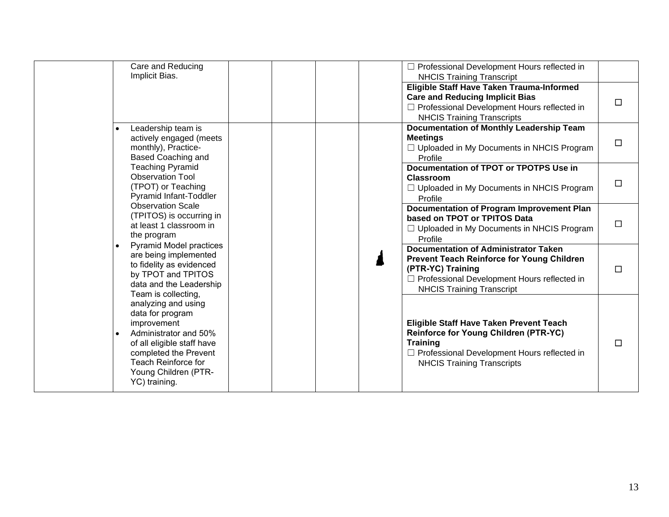| Care and Reducing<br>Implicit Bias.                                                                                                                                                                                 |  | □ Professional Development Hours reflected in<br><b>NHCIS Training Transcript</b>                                                                                                                          |        |
|---------------------------------------------------------------------------------------------------------------------------------------------------------------------------------------------------------------------|--|------------------------------------------------------------------------------------------------------------------------------------------------------------------------------------------------------------|--------|
|                                                                                                                                                                                                                     |  | Eligible Staff Have Taken Trauma-Informed<br><b>Care and Reducing Implicit Bias</b><br>$\Box$ Professional Development Hours reflected in<br><b>NHCIS Training Transcripts</b>                             | □      |
| Leadership team is<br>$\bullet$<br>actively engaged (meets<br>monthly), Practice-<br><b>Based Coaching and</b>                                                                                                      |  | <b>Documentation of Monthly Leadership Team</b><br><b>Meetings</b><br>$\Box$ Uploaded in My Documents in NHCIS Program<br>Profile                                                                          | $\Box$ |
| <b>Teaching Pyramid</b><br><b>Observation Tool</b><br>(TPOT) or Teaching<br>Pyramid Infant-Toddler                                                                                                                  |  | Documentation of TPOT or TPOTPS Use in<br>Classroom<br>□ Uploaded in My Documents in NHCIS Program<br>Profile                                                                                              | $\Box$ |
| <b>Observation Scale</b><br>(TPITOS) is occurring in<br>at least 1 classroom in<br>the program                                                                                                                      |  | Documentation of Program Improvement Plan<br>based on TPOT or TPITOS Data<br>$\Box$ Uploaded in My Documents in NHCIS Program<br>Profile                                                                   | $\Box$ |
| <b>Pyramid Model practices</b><br>$\bullet$<br>are being implemented<br>to fidelity as evidenced<br>by TPOT and TPITOS<br>data and the Leadership<br>Team is collecting,                                            |  | <b>Documentation of Administrator Taken</b><br><b>Prevent Teach Reinforce for Young Children</b><br>(PTR-YC) Training<br>□ Professional Development Hours reflected in<br><b>NHCIS Training Transcript</b> | □      |
| analyzing and using<br>data for program<br>improvement<br>Administrator and 50%<br>$\bullet$<br>of all eligible staff have<br>completed the Prevent<br>Teach Reinforce for<br>Young Children (PTR-<br>YC) training. |  | Eligible Staff Have Taken Prevent Teach<br><b>Reinforce for Young Children (PTR-YC)</b><br><b>Training</b><br>□ Professional Development Hours reflected in<br><b>NHCIS Training Transcripts</b>           | □      |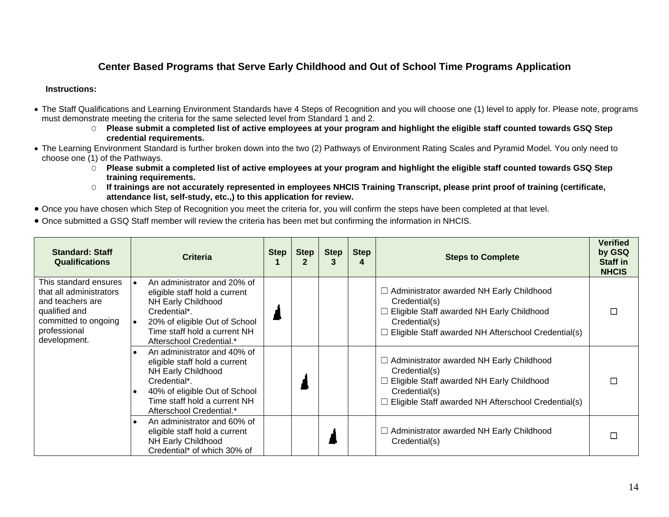### **Center Based Programs that Serve Early Childhood and Out of School Time Programs Application**

- <span id="page-13-0"></span>• The Staff Qualifications and Learning Environment Standards have 4 Steps of Recognition and you will choose one (1) level to apply for. Please note, programs must demonstrate meeting the criteria for the same selected level from Standard 1 and 2.
	- O **Please submit a completed list of active employees at your program and highlight the eligible staff counted towards GSQ Step credential requirements.**
- The Learning Environment Standard is further broken down into the two (2) Pathways of Environment Rating Scales and Pyramid Model. You only need to choose one (1) of the Pathways.
	- O **Please submit a completed list of active employees at your program and highlight the eligible staff counted towards GSQ Step training requirements.**
	- O **If trainings are not accurately represented in employees NHCIS Training Transcript, please print proof of training (certificate, attendance list, self-study, etc.,) to this application for review.**
- Once you have chosen which Step of Recognition you meet the criteria for, you will confirm the steps have been completed at that level.
- Once submitted a GSQ Staff member will review the criteria has been met but confirming the information in NHCIS.

| <b>Standard: Staff</b><br><b>Qualifications</b>                                                                                               | <b>Criteria</b>                                                                                                                                                                                                     | Step | <b>Step</b> | <b>Step</b> | <b>Step</b><br>4 | <b>Steps to Complete</b>                                                                                                                                                                            | <b>Verified</b><br>by GSQ<br><b>Staff in</b><br><b>NHCIS</b> |
|-----------------------------------------------------------------------------------------------------------------------------------------------|---------------------------------------------------------------------------------------------------------------------------------------------------------------------------------------------------------------------|------|-------------|-------------|------------------|-----------------------------------------------------------------------------------------------------------------------------------------------------------------------------------------------------|--------------------------------------------------------------|
| This standard ensures<br>that all administrators<br>and teachers are<br>qualified and<br>committed to ongoing<br>professional<br>development. | An administrator and 20% of<br>l e<br>eligible staff hold a current<br>NH Early Childhood<br>Credential*.<br>20% of eligible Out of School<br>$\bullet$<br>Time staff hold a current NH<br>Afterschool Credential.* |      |             |             |                  | $\Box$ Administrator awarded NH Early Childhood<br>Credential(s)<br>$\Box$ Eligible Staff awarded NH Early Childhood<br>Credential(s)<br>$\Box$ Eligible Staff awarded NH Afterschool Credential(s) |                                                              |
|                                                                                                                                               | An administrator and 40% of<br>eligible staff hold a current<br>NH Early Childhood<br>Credential*.<br>40% of eligible Out of School<br>Time staff hold a current NH<br>Afterschool Credential.*                     |      |             |             |                  | $\Box$ Administrator awarded NH Early Childhood<br>Credential(s)<br>□ Eligible Staff awarded NH Early Childhood<br>Credential(s)<br>$\Box$ Eligible Staff awarded NH Afterschool Credential(s)      |                                                              |
|                                                                                                                                               | An administrator and 60% of<br>$\bullet$<br>eligible staff hold a current<br>NH Early Childhood<br>Credential* of which 30% of                                                                                      |      |             |             |                  | $\Box$ Administrator awarded NH Early Childhood<br>Credential(s)                                                                                                                                    |                                                              |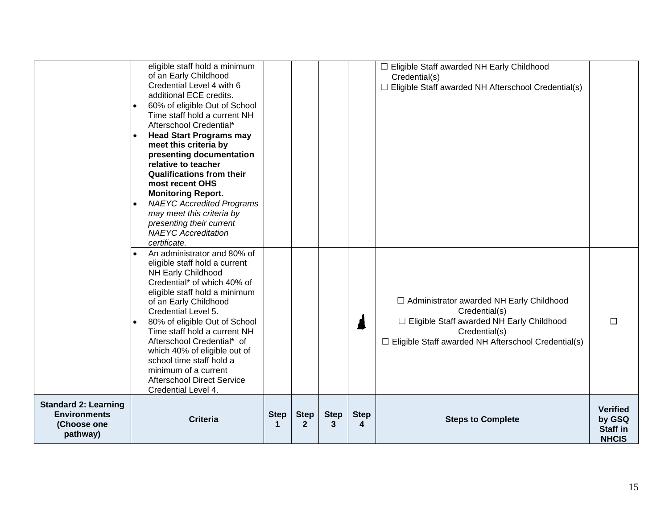| which 40% of eligible out of<br>school time staff hold a<br>minimum of a current<br><b>Afterschool Direct Service</b><br>Credential Level 4.                                                                                                                                                                                                                                                                                                                                                                                                            |                                                                                                                                                                                           |   |
|---------------------------------------------------------------------------------------------------------------------------------------------------------------------------------------------------------------------------------------------------------------------------------------------------------------------------------------------------------------------------------------------------------------------------------------------------------------------------------------------------------------------------------------------------------|-------------------------------------------------------------------------------------------------------------------------------------------------------------------------------------------|---|
| An administrator and 80% of<br>eligible staff hold a current<br><b>NH Early Childhood</b><br>Credential* of which 40% of<br>eligible staff hold a minimum<br>of an Early Childhood<br>Credential Level 5.<br>80% of eligible Out of School<br>Time staff hold a current NH<br>Afterschool Credential* of                                                                                                                                                                                                                                                | □ Administrator awarded NH Early Childhood<br>Credential(s)<br>□ Eligible Staff awarded NH Early Childhood<br>Credential(s)<br>$\Box$ Eligible Staff awarded NH Afterschool Credential(s) | □ |
| eligible staff hold a minimum<br>of an Early Childhood<br>Credential Level 4 with 6<br>additional ECE credits.<br>60% of eligible Out of School<br>Time staff hold a current NH<br>Afterschool Credential*<br><b>Head Start Programs may</b><br>meet this criteria by<br>presenting documentation<br>relative to teacher<br><b>Qualifications from their</b><br>most recent OHS<br><b>Monitoring Report.</b><br><b>NAEYC Accredited Programs</b><br>may meet this criteria by<br>presenting their current<br><b>NAEYC</b> Accreditation<br>certificate. | Eligible Staff awarded NH Early Childhood<br>Credential(s)<br>$\Box$ Eligible Staff awarded NH Afterschool Credential(s)                                                                  |   |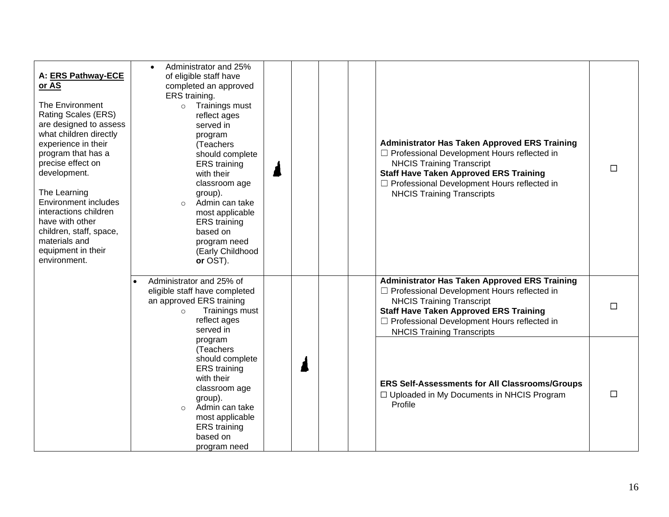| A: ERS Pathway-ECE<br>or AS<br>The Environment<br><b>Rating Scales (ERS)</b><br>are designed to assess<br>what children directly<br>experience in their<br>program that has a<br>precise effect on<br>development.<br>The Learning<br><b>Environment includes</b><br>interactions children<br>have with other<br>children, staff, space,<br>materials and<br>equipment in their<br>environment. | Administrator and 25%<br>$\bullet$<br>of eligible staff have<br>completed an approved<br>ERS training.<br>Trainings must<br>$\circ$<br>reflect ages<br>served in<br>program<br>(Teachers<br>should complete<br><b>ERS</b> training<br>with their<br>classroom age<br>group).<br>Admin can take<br>$\circ$<br>most applicable<br><b>ERS</b> training<br>based on<br>program need<br>(Early Childhood<br>or OST). |  |  | <b>Administrator Has Taken Approved ERS Training</b><br>□ Professional Development Hours reflected in<br><b>NHCIS Training Transcript</b><br><b>Staff Have Taken Approved ERS Training</b><br>□ Professional Development Hours reflected in<br><b>NHCIS Training Transcripts</b>      | $\Box$ |
|-------------------------------------------------------------------------------------------------------------------------------------------------------------------------------------------------------------------------------------------------------------------------------------------------------------------------------------------------------------------------------------------------|-----------------------------------------------------------------------------------------------------------------------------------------------------------------------------------------------------------------------------------------------------------------------------------------------------------------------------------------------------------------------------------------------------------------|--|--|---------------------------------------------------------------------------------------------------------------------------------------------------------------------------------------------------------------------------------------------------------------------------------------|--------|
|                                                                                                                                                                                                                                                                                                                                                                                                 | Administrator and 25% of<br>eligible staff have completed<br>an approved ERS training<br>Trainings must<br>$\circ$<br>reflect ages<br>served in                                                                                                                                                                                                                                                                 |  |  | <b>Administrator Has Taken Approved ERS Training</b><br>$\Box$ Professional Development Hours reflected in<br><b>NHCIS Training Transcript</b><br><b>Staff Have Taken Approved ERS Training</b><br>□ Professional Development Hours reflected in<br><b>NHCIS Training Transcripts</b> | $\Box$ |
|                                                                                                                                                                                                                                                                                                                                                                                                 | program<br>(Teachers<br>should complete<br><b>ERS</b> training<br>with their<br>classroom age<br>group).<br>Admin can take<br>most applicable<br><b>ERS</b> training<br>based on<br>program need                                                                                                                                                                                                                |  |  | <b>ERS Self-Assessments for All Classrooms/Groups</b><br>□ Uploaded in My Documents in NHCIS Program<br>Profile                                                                                                                                                                       | $\Box$ |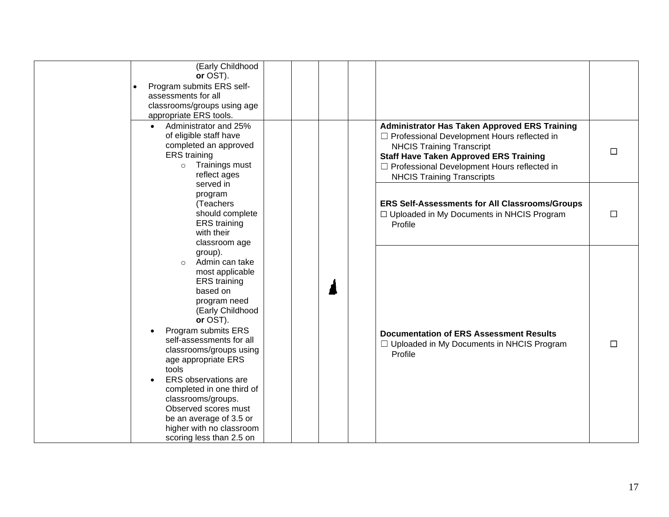| (Early Childhood<br>or OST).<br>Program submits ERS self-<br>assessments for all<br>classrooms/groups using age<br>appropriate ERS tools.                                                                                                                                                                                                                                                                                                      |  |                                                                                                                                                                                                                                                                                  |        |
|------------------------------------------------------------------------------------------------------------------------------------------------------------------------------------------------------------------------------------------------------------------------------------------------------------------------------------------------------------------------------------------------------------------------------------------------|--|----------------------------------------------------------------------------------------------------------------------------------------------------------------------------------------------------------------------------------------------------------------------------------|--------|
| Administrator and 25%<br>$\bullet$<br>of eligible staff have<br>completed an approved<br><b>ERS</b> training<br>Trainings must<br>$\circ$<br>reflect ages<br>served in                                                                                                                                                                                                                                                                         |  | <b>Administrator Has Taken Approved ERS Training</b><br>□ Professional Development Hours reflected in<br><b>NHCIS Training Transcript</b><br><b>Staff Have Taken Approved ERS Training</b><br>□ Professional Development Hours reflected in<br><b>NHCIS Training Transcripts</b> | $\Box$ |
| program<br>(Teachers<br>should complete<br><b>ERS</b> training<br>with their<br>classroom age                                                                                                                                                                                                                                                                                                                                                  |  | ERS Self-Assessments for All Classrooms/Groups<br>□ Uploaded in My Documents in NHCIS Program<br>Profile                                                                                                                                                                         | □      |
| group).<br>Admin can take<br>$\circ$<br>most applicable<br><b>ERS</b> training<br>based on<br>program need<br>(Early Childhood<br>or OST).<br>Program submits ERS<br>self-assessments for all<br>classrooms/groups using<br>age appropriate ERS<br>tools<br>ERS observations are<br>completed in one third of<br>classrooms/groups.<br>Observed scores must<br>be an average of 3.5 or<br>higher with no classroom<br>scoring less than 2.5 on |  | <b>Documentation of ERS Assessment Results</b><br>□ Uploaded in My Documents in NHCIS Program<br>Profile                                                                                                                                                                         | $\Box$ |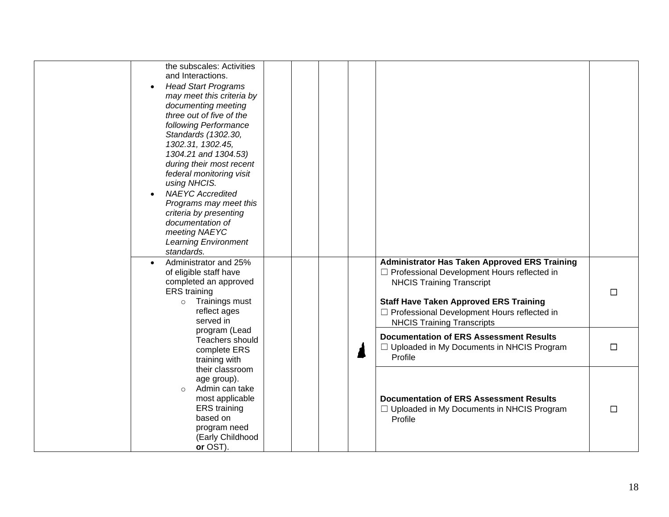| the subscales: Activities<br>and Interactions.<br><b>Head Start Programs</b><br>$\bullet$<br>may meet this criteria by<br>documenting meeting<br>three out of five of the<br>following Performance<br>Standards (1302.30,<br>1302.31, 1302.45,<br>1304.21 and 1304.53)<br>during their most recent<br>federal monitoring visit<br>using NHCIS.<br><b>NAEYC Accredited</b><br>Programs may meet this<br>criteria by presenting<br>documentation of<br>meeting NAEYC<br><b>Learning Environment</b> |  |                                                                                                                                                                                                                                                                                       |        |
|---------------------------------------------------------------------------------------------------------------------------------------------------------------------------------------------------------------------------------------------------------------------------------------------------------------------------------------------------------------------------------------------------------------------------------------------------------------------------------------------------|--|---------------------------------------------------------------------------------------------------------------------------------------------------------------------------------------------------------------------------------------------------------------------------------------|--------|
| standards.<br>Administrator and 25%<br>$\bullet$<br>of eligible staff have<br>completed an approved<br><b>ERS</b> training<br>Trainings must<br>$\circ$<br>reflect ages<br>served in                                                                                                                                                                                                                                                                                                              |  | <b>Administrator Has Taken Approved ERS Training</b><br>$\Box$ Professional Development Hours reflected in<br><b>NHCIS Training Transcript</b><br><b>Staff Have Taken Approved ERS Training</b><br>□ Professional Development Hours reflected in<br><b>NHCIS Training Transcripts</b> | $\Box$ |
| program (Lead<br>Teachers should<br>complete ERS<br>training with                                                                                                                                                                                                                                                                                                                                                                                                                                 |  | <b>Documentation of ERS Assessment Results</b><br>□ Uploaded in My Documents in NHCIS Program<br>Profile                                                                                                                                                                              | $\Box$ |
| their classroom<br>age group).<br>Admin can take<br>$\circ$<br>most applicable<br><b>ERS</b> training<br>based on<br>program need<br>(Early Childhood<br>or OST).                                                                                                                                                                                                                                                                                                                                 |  | <b>Documentation of ERS Assessment Results</b><br>$\Box$ Uploaded in My Documents in NHCIS Program<br>Profile                                                                                                                                                                         | $\Box$ |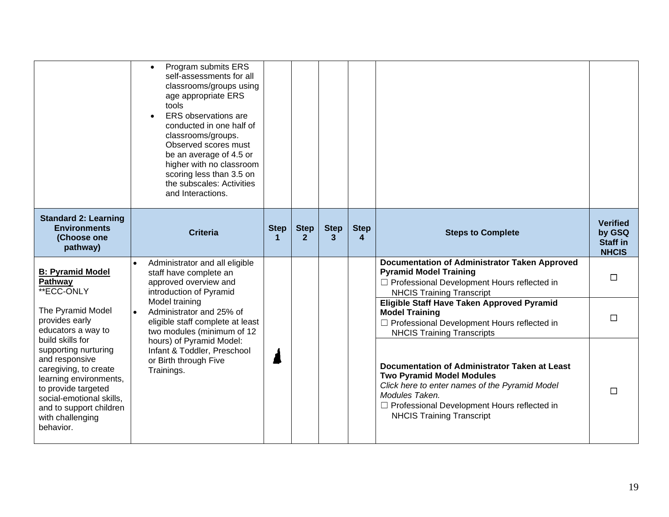|                                                                                                                                                                                                          | Program submits ERS<br>$\bullet$<br>self-assessments for all<br>classrooms/groups using<br>age appropriate ERS<br>tools<br><b>ERS</b> observations are<br>conducted in one half of<br>classrooms/groups.<br>Observed scores must<br>be an average of 4.5 or<br>higher with no classroom<br>scoring less than 3.5 on<br>the subscales: Activities<br>and Interactions. |                  |                             |                  |                  |                                                                                                                                                                                                                                            |                                                              |
|----------------------------------------------------------------------------------------------------------------------------------------------------------------------------------------------------------|-----------------------------------------------------------------------------------------------------------------------------------------------------------------------------------------------------------------------------------------------------------------------------------------------------------------------------------------------------------------------|------------------|-----------------------------|------------------|------------------|--------------------------------------------------------------------------------------------------------------------------------------------------------------------------------------------------------------------------------------------|--------------------------------------------------------------|
| <b>Standard 2: Learning</b><br><b>Environments</b><br>(Choose one<br>pathway)                                                                                                                            | <b>Criteria</b>                                                                                                                                                                                                                                                                                                                                                       | <b>Step</b><br>1 | <b>Step</b><br>$\mathbf{2}$ | <b>Step</b><br>3 | <b>Step</b><br>4 | <b>Steps to Complete</b>                                                                                                                                                                                                                   | <b>Verified</b><br>by GSQ<br><b>Staff in</b><br><b>NHCIS</b> |
| <b>B: Pyramid Model</b><br>Pathway<br>**ECC-ONLY                                                                                                                                                         | Administrator and all eligible<br>staff have complete an<br>approved overview and<br>introduction of Pyramid                                                                                                                                                                                                                                                          |                  |                             |                  |                  | <b>Documentation of Administrator Taken Approved</b><br><b>Pyramid Model Training</b><br>□ Professional Development Hours reflected in<br><b>NHCIS Training Transcript</b>                                                                 | $\Box$                                                       |
| The Pyramid Model<br>provides early<br>educators a way to<br>build skills for                                                                                                                            | Model training<br>Administrator and 25% of<br>eligible staff complete at least<br>two modules (minimum of 12                                                                                                                                                                                                                                                          |                  |                             |                  |                  | Eligible Staff Have Taken Approved Pyramid<br><b>Model Training</b><br>□ Professional Development Hours reflected in<br><b>NHCIS Training Transcripts</b>                                                                                  | П                                                            |
| supporting nurturing<br>and responsive<br>caregiving, to create<br>learning environments,<br>to provide targeted<br>social-emotional skills,<br>and to support children<br>with challenging<br>behavior. | hours) of Pyramid Model:<br>Infant & Toddler, Preschool<br>or Birth through Five<br>Trainings.                                                                                                                                                                                                                                                                        |                  |                             |                  |                  | Documentation of Administrator Taken at Least<br><b>Two Pyramid Model Modules</b><br>Click here to enter names of the Pyramid Model<br>Modules Taken.<br>□ Professional Development Hours reflected in<br><b>NHCIS Training Transcript</b> | П                                                            |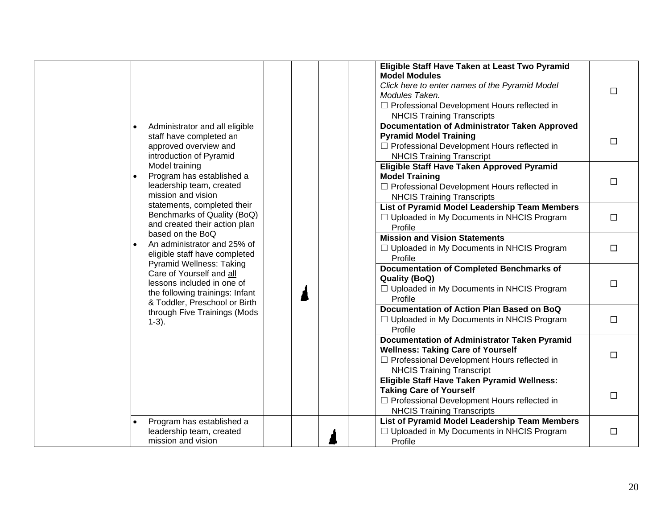|                                                                                                                                                                                 |                                                                                                                                                               |                                                                                                              | Eligible Staff Have Taken at Least Two Pyramid<br><b>Model Modules</b><br>Click here to enter names of the Pyramid Model<br>Modules Taken.<br>□ Professional Development Hours reflected in<br><b>NHCIS Training Transcripts</b> | П      |
|---------------------------------------------------------------------------------------------------------------------------------------------------------------------------------|---------------------------------------------------------------------------------------------------------------------------------------------------------------|--------------------------------------------------------------------------------------------------------------|----------------------------------------------------------------------------------------------------------------------------------------------------------------------------------------------------------------------------------|--------|
|                                                                                                                                                                                 | Administrator and all eligible<br>staff have completed an<br>approved overview and<br>introduction of Pyramid                                                 |                                                                                                              | <b>Documentation of Administrator Taken Approved</b><br><b>Pyramid Model Training</b><br>□ Professional Development Hours reflected in<br><b>NHCIS Training Transcript</b>                                                       | $\Box$ |
| $\bullet$                                                                                                                                                                       | Model training<br>Program has established a<br>leadership team, created<br>mission and vision                                                                 |                                                                                                              | Eligible Staff Have Taken Approved Pyramid<br><b>Model Training</b><br>□ Professional Development Hours reflected in<br><b>NHCIS Training Transcripts</b>                                                                        | $\Box$ |
| statements, completed their<br>Benchmarks of Quality (BoQ)<br>and created their action plan<br>based on the BoQ<br>An administrator and 25% of<br>eligible staff have completed |                                                                                                                                                               | List of Pyramid Model Leadership Team Members<br>$\Box$ Uploaded in My Documents in NHCIS Program<br>Profile | $\Box$                                                                                                                                                                                                                           |        |
|                                                                                                                                                                                 |                                                                                                                                                               | <b>Mission and Vision Statements</b><br>□ Uploaded in My Documents in NHCIS Program<br>Profile               | $\Box$                                                                                                                                                                                                                           |        |
|                                                                                                                                                                                 | <b>Pyramid Wellness: Taking</b><br>Care of Yourself and all<br>lessons included in one of<br>the following trainings: Infant<br>& Toddler, Preschool or Birth |                                                                                                              | <b>Documentation of Completed Benchmarks of</b><br><b>Quality (BoQ)</b><br>□ Uploaded in My Documents in NHCIS Program<br>Profile                                                                                                | $\Box$ |
| $1-3$ ).                                                                                                                                                                        | through Five Trainings (Mods                                                                                                                                  |                                                                                                              | Documentation of Action Plan Based on BoQ<br>□ Uploaded in My Documents in NHCIS Program<br>Profile                                                                                                                              | $\Box$ |
|                                                                                                                                                                                 |                                                                                                                                                               |                                                                                                              | <b>Documentation of Administrator Taken Pyramid</b><br><b>Wellness: Taking Care of Yourself</b><br>□ Professional Development Hours reflected in<br><b>NHCIS Training Transcript</b>                                             | $\Box$ |
|                                                                                                                                                                                 |                                                                                                                                                               |                                                                                                              | Eligible Staff Have Taken Pyramid Wellness:<br><b>Taking Care of Yourself</b><br>□ Professional Development Hours reflected in<br><b>NHCIS Training Transcripts</b>                                                              | $\Box$ |
|                                                                                                                                                                                 | Program has established a<br>leadership team, created<br>mission and vision                                                                                   |                                                                                                              | List of Pyramid Model Leadership Team Members<br>$\Box$ Uploaded in My Documents in NHCIS Program<br>Profile                                                                                                                     | $\Box$ |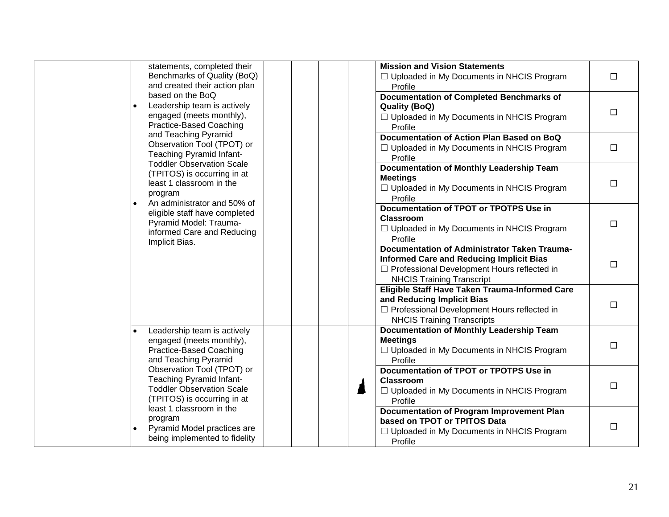| statements, completed their<br>Benchmarks of Quality (BoQ)<br>$\Box$ Uploaded in My Documents in NHCIS Program<br>$\Box$<br>and created their action plan<br>Profile<br>based on the BoQ<br><b>Documentation of Completed Benchmarks of</b><br>Leadership team is actively<br><b>Quality (BoQ)</b><br>$\Box$<br>engaged (meets monthly),<br>□ Uploaded in My Documents in NHCIS Program<br>Practice-Based Coaching<br>Profile<br>and Teaching Pyramid<br>Documentation of Action Plan Based on BoQ<br>Observation Tool (TPOT) or<br>$\Box$<br>$\Box$ Uploaded in My Documents in NHCIS Program<br>Teaching Pyramid Infant-<br>Profile<br><b>Toddler Observation Scale</b><br>Documentation of Monthly Leadership Team<br>(TPITOS) is occurring in at<br><b>Meetings</b><br>least 1 classroom in the<br>$\Box$<br>$\Box$ Uploaded in My Documents in NHCIS Program<br>program<br>Profile<br>An administrator and 50% of<br><b>Documentation of TPOT or TPOTPS Use in</b><br>eligible staff have completed<br><b>Classroom</b><br>Pyramid Model: Trauma-<br>$\Box$<br>□ Uploaded in My Documents in NHCIS Program<br>informed Care and Reducing<br>Profile<br>Implicit Bias.<br>Documentation of Administrator Taken Trauma-<br><b>Informed Care and Reducing Implicit Bias</b><br>$\Box$<br>□ Professional Development Hours reflected in<br><b>NHCIS Training Transcript</b><br>Eligible Staff Have Taken Trauma-Informed Care<br>and Reducing Implicit Bias<br>$\Box$<br>□ Professional Development Hours reflected in<br><b>NHCIS Training Transcripts</b><br><b>Documentation of Monthly Leadership Team</b><br>Leadership team is actively<br><b>Meetings</b><br>engaged (meets monthly),<br>$\Box$<br>Practice-Based Coaching<br>□ Uploaded in My Documents in NHCIS Program<br>and Teaching Pyramid<br>Profile<br>Observation Tool (TPOT) or<br>Documentation of TPOT or TPOTPS Use in<br>Teaching Pyramid Infant-<br><b>Classroom</b><br>$\Box$<br><b>Toddler Observation Scale</b><br>$\Box$ Uploaded in My Documents in NHCIS Program<br>(TPITOS) is occurring in at<br>Profile<br>least 1 classroom in the<br><b>Documentation of Program Improvement Plan</b><br>program<br>based on TPOT or TPITOS Data<br>$\Box$<br>Pyramid Model practices are<br>$\Box$ Uploaded in My Documents in NHCIS Program<br>being implemented to fidelity<br>Profile |  |                                      |  |
|--------------------------------------------------------------------------------------------------------------------------------------------------------------------------------------------------------------------------------------------------------------------------------------------------------------------------------------------------------------------------------------------------------------------------------------------------------------------------------------------------------------------------------------------------------------------------------------------------------------------------------------------------------------------------------------------------------------------------------------------------------------------------------------------------------------------------------------------------------------------------------------------------------------------------------------------------------------------------------------------------------------------------------------------------------------------------------------------------------------------------------------------------------------------------------------------------------------------------------------------------------------------------------------------------------------------------------------------------------------------------------------------------------------------------------------------------------------------------------------------------------------------------------------------------------------------------------------------------------------------------------------------------------------------------------------------------------------------------------------------------------------------------------------------------------------------------------------------------------------------------------------------------------------------------------------------------------------------------------------------------------------------------------------------------------------------------------------------------------------------------------------------------------------------------------------------------------------------------------------------------------------------------------------------------------------------------------------------------------------|--|--------------------------------------|--|
|                                                                                                                                                                                                                                                                                                                                                                                                                                                                                                                                                                                                                                                                                                                                                                                                                                                                                                                                                                                                                                                                                                                                                                                                                                                                                                                                                                                                                                                                                                                                                                                                                                                                                                                                                                                                                                                                                                                                                                                                                                                                                                                                                                                                                                                                                                                                                              |  | <b>Mission and Vision Statements</b> |  |
|                                                                                                                                                                                                                                                                                                                                                                                                                                                                                                                                                                                                                                                                                                                                                                                                                                                                                                                                                                                                                                                                                                                                                                                                                                                                                                                                                                                                                                                                                                                                                                                                                                                                                                                                                                                                                                                                                                                                                                                                                                                                                                                                                                                                                                                                                                                                                              |  |                                      |  |
|                                                                                                                                                                                                                                                                                                                                                                                                                                                                                                                                                                                                                                                                                                                                                                                                                                                                                                                                                                                                                                                                                                                                                                                                                                                                                                                                                                                                                                                                                                                                                                                                                                                                                                                                                                                                                                                                                                                                                                                                                                                                                                                                                                                                                                                                                                                                                              |  |                                      |  |
|                                                                                                                                                                                                                                                                                                                                                                                                                                                                                                                                                                                                                                                                                                                                                                                                                                                                                                                                                                                                                                                                                                                                                                                                                                                                                                                                                                                                                                                                                                                                                                                                                                                                                                                                                                                                                                                                                                                                                                                                                                                                                                                                                                                                                                                                                                                                                              |  |                                      |  |
|                                                                                                                                                                                                                                                                                                                                                                                                                                                                                                                                                                                                                                                                                                                                                                                                                                                                                                                                                                                                                                                                                                                                                                                                                                                                                                                                                                                                                                                                                                                                                                                                                                                                                                                                                                                                                                                                                                                                                                                                                                                                                                                                                                                                                                                                                                                                                              |  |                                      |  |
|                                                                                                                                                                                                                                                                                                                                                                                                                                                                                                                                                                                                                                                                                                                                                                                                                                                                                                                                                                                                                                                                                                                                                                                                                                                                                                                                                                                                                                                                                                                                                                                                                                                                                                                                                                                                                                                                                                                                                                                                                                                                                                                                                                                                                                                                                                                                                              |  |                                      |  |
|                                                                                                                                                                                                                                                                                                                                                                                                                                                                                                                                                                                                                                                                                                                                                                                                                                                                                                                                                                                                                                                                                                                                                                                                                                                                                                                                                                                                                                                                                                                                                                                                                                                                                                                                                                                                                                                                                                                                                                                                                                                                                                                                                                                                                                                                                                                                                              |  |                                      |  |
|                                                                                                                                                                                                                                                                                                                                                                                                                                                                                                                                                                                                                                                                                                                                                                                                                                                                                                                                                                                                                                                                                                                                                                                                                                                                                                                                                                                                                                                                                                                                                                                                                                                                                                                                                                                                                                                                                                                                                                                                                                                                                                                                                                                                                                                                                                                                                              |  |                                      |  |
|                                                                                                                                                                                                                                                                                                                                                                                                                                                                                                                                                                                                                                                                                                                                                                                                                                                                                                                                                                                                                                                                                                                                                                                                                                                                                                                                                                                                                                                                                                                                                                                                                                                                                                                                                                                                                                                                                                                                                                                                                                                                                                                                                                                                                                                                                                                                                              |  |                                      |  |
|                                                                                                                                                                                                                                                                                                                                                                                                                                                                                                                                                                                                                                                                                                                                                                                                                                                                                                                                                                                                                                                                                                                                                                                                                                                                                                                                                                                                                                                                                                                                                                                                                                                                                                                                                                                                                                                                                                                                                                                                                                                                                                                                                                                                                                                                                                                                                              |  |                                      |  |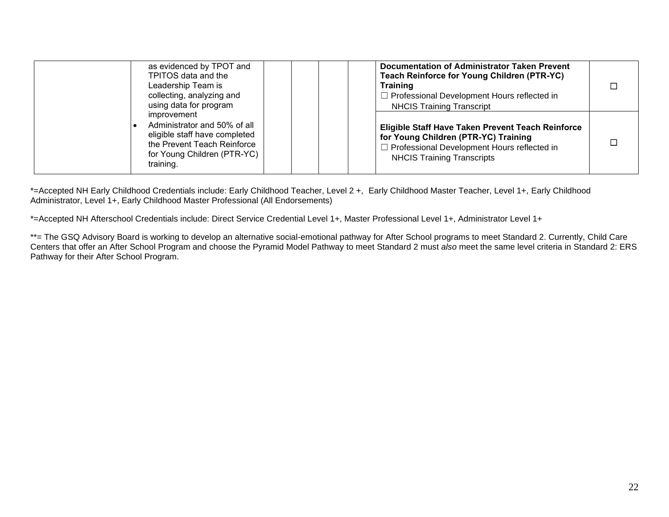| as evidenced by TPOT and<br>TPITOS data and the<br>Leadership Team is<br>collecting, analyzing and<br>using data for program                            | Documentation of Administrator Taken Prevent<br>Teach Reinforce for Young Children (PTR-YC)<br><b>Training</b><br>$\Box$ Professional Development Hours reflected in<br><b>NHCIS Training Transcript</b> |  |
|---------------------------------------------------------------------------------------------------------------------------------------------------------|----------------------------------------------------------------------------------------------------------------------------------------------------------------------------------------------------------|--|
| improvement<br>Administrator and 50% of all<br>eligible staff have completed<br>the Prevent Teach Reinforce<br>for Young Children (PTR-YC)<br>training. | Eligible Staff Have Taken Prevent Teach Reinforce<br>for Young Children (PTR-YC) Training<br>$\Box$ Professional Development Hours reflected in<br><b>NHCIS Training Transcripts</b>                     |  |

\*=Accepted NH Early Childhood Credentials include: Early Childhood Teacher, Level 2 +, Early Childhood Master Teacher, Level 1+, Early Childhood Administrator, Level 1+, Early Childhood Master Professional (All Endorsements)

\*=Accepted NH Afterschool Credentials include: Direct Service Credential Level 1+, Master Professional Level 1+, Administrator Level 1+

\*\*= The GSQ Advisory Board is working to develop an alternative social-emotional pathway for After School programs to meet Standard 2. Currently, Child Care Centers that offer an After School Program and choose the Pyramid Model Pathway to meet Standard 2 must *also* meet the same level criteria in Standard 2: ERS Pathway for their After School Program.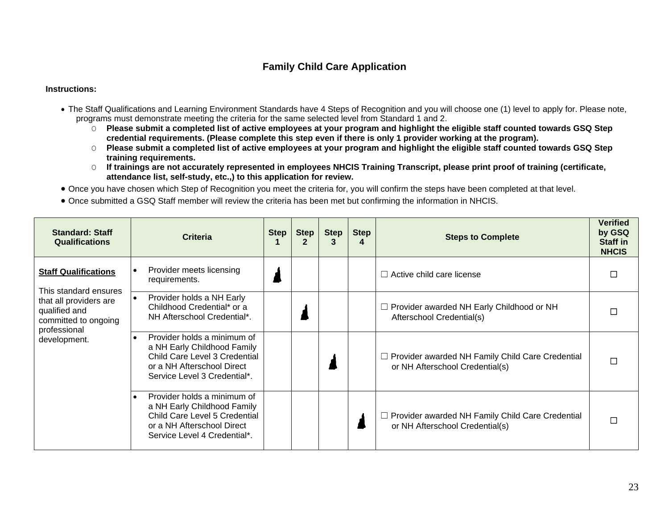## **Family Child Care Application**

- <span id="page-22-0"></span>• The Staff Qualifications and Learning Environment Standards have 4 Steps of Recognition and you will choose one (1) level to apply for. Please note, programs must demonstrate meeting the criteria for the same selected level from Standard 1 and 2.
	- O **Please submit a completed list of active employees at your program and highlight the eligible staff counted towards GSQ Step credential requirements. (Please complete this step even if there is only 1 provider working at the program).**
	- O **Please submit a completed list of active employees at your program and highlight the eligible staff counted towards GSQ Step training requirements.**
	- O **If trainings are not accurately represented in employees NHCIS Training Transcript, please print proof of training (certificate, attendance list, self-study, etc.,) to this application for review.**
- Once you have chosen which Step of Recognition you meet the criteria for, you will confirm the steps have been completed at that level.
- Once submitted a GSQ Staff member will review the criteria has been met but confirming the information in NHCIS.

| <b>Standard: Staff</b><br><b>Qualifications</b>                                 | <b>Criteria</b>                                                                                                                                                        | Step $ $ | <b>Step</b><br>2 | <b>Step</b> | <b>Step</b><br>4 | <b>Steps to Complete</b>                                                                   | <b>Verified</b><br>by GSQ<br>Staff in<br><b>NHCIS</b> |
|---------------------------------------------------------------------------------|------------------------------------------------------------------------------------------------------------------------------------------------------------------------|----------|------------------|-------------|------------------|--------------------------------------------------------------------------------------------|-------------------------------------------------------|
| <b>Staff Qualifications</b><br>This standard ensures                            | Provider meets licensing<br>$\bullet$<br>requirements.                                                                                                                 |          |                  |             |                  | $\Box$ Active child care license                                                           |                                                       |
| that all providers are<br>qualified and<br>committed to ongoing<br>professional | Provider holds a NH Early<br>$\bullet$<br>Childhood Credential* or a<br>NH Afterschool Credential*.                                                                    |          |                  |             |                  | $\Box$ Provider awarded NH Early Childhood or NH<br>Afterschool Credential(s)              |                                                       |
| development.                                                                    | Provider holds a minimum of<br>$\bullet$<br>a NH Early Childhood Family<br>Child Care Level 3 Credential<br>or a NH Afterschool Direct<br>Service Level 3 Credential*. |          |                  |             |                  | $\Box$ Provider awarded NH Family Child Care Credential<br>or NH Afterschool Credential(s) |                                                       |
|                                                                                 | Provider holds a minimum of<br>$\bullet$<br>a NH Early Childhood Family<br>Child Care Level 5 Credential<br>or a NH Afterschool Direct<br>Service Level 4 Credential*. |          |                  |             |                  | $\Box$ Provider awarded NH Family Child Care Credential<br>or NH Afterschool Credential(s) |                                                       |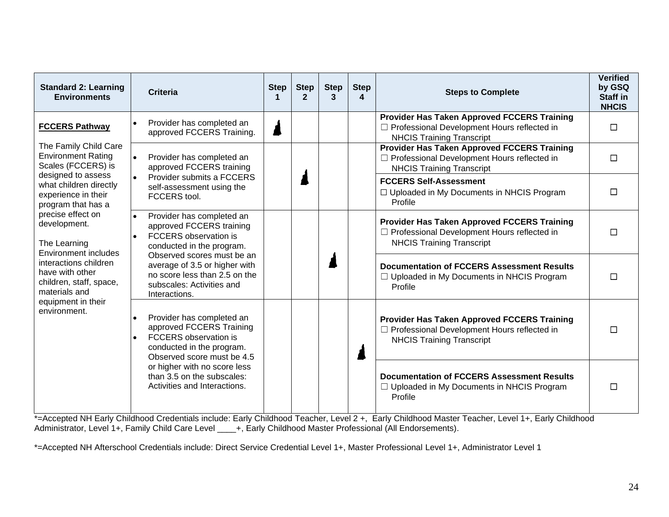| <b>Standard 2: Learning</b><br><b>Environments</b>                                                                                                                     | <b>Criteria</b>                                                                                                                                        | <b>Step</b> | <b>Step</b><br>$\mathbf{2}$ | <b>Step</b><br>3 | <b>Step</b><br>4 | <b>Steps to Complete</b>                                                                                                                | <b>Verified</b><br>by GSQ<br><b>Staff in</b><br><b>NHCIS</b> |
|------------------------------------------------------------------------------------------------------------------------------------------------------------------------|--------------------------------------------------------------------------------------------------------------------------------------------------------|-------------|-----------------------------|------------------|------------------|-----------------------------------------------------------------------------------------------------------------------------------------|--------------------------------------------------------------|
| <b>FCCERS Pathway</b>                                                                                                                                                  | Provider has completed an<br>approved FCCERS Training.                                                                                                 |             |                             |                  |                  | <b>Provider Has Taken Approved FCCERS Training</b><br>□ Professional Development Hours reflected in<br><b>NHCIS Training Transcript</b> | П                                                            |
| The Family Child Care<br><b>Environment Rating</b><br>Scales (FCCERS) is                                                                                               | Provider has completed an<br>$\bullet$<br>approved FCCERS training                                                                                     |             |                             |                  |                  | <b>Provider Has Taken Approved FCCERS Training</b><br>□ Professional Development Hours reflected in<br><b>NHCIS Training Transcript</b> | П                                                            |
| designed to assess<br>what children directly<br>experience in their<br>program that has a<br>precise effect on<br>development.<br>The Learning<br>Environment includes | Provider submits a FCCERS<br>self-assessment using the<br>FCCERS tool.                                                                                 |             |                             |                  |                  | <b>FCCERS Self-Assessment</b><br>□ Uploaded in My Documents in NHCIS Program<br>Profile                                                 | П                                                            |
|                                                                                                                                                                        | Provider has completed an<br>approved FCCERS training<br><b>FCCERS</b> observation is<br>conducted in the program.<br>Observed scores must be an       |             |                             |                  |                  | <b>Provider Has Taken Approved FCCERS Training</b><br>□ Professional Development Hours reflected in<br><b>NHCIS Training Transcript</b> |                                                              |
| interactions children<br>have with other<br>children, staff, space,<br>materials and                                                                                   | average of 3.5 or higher with<br>no score less than 2.5 on the<br>subscales: Activities and<br>Interactions.                                           |             |                             |                  |                  | <b>Documentation of FCCERS Assessment Results</b><br>$\Box$ Uploaded in My Documents in NHCIS Program<br>Profile                        |                                                              |
| equipment in their<br>environment.                                                                                                                                     | Provider has completed an<br>approved FCCERS Training<br>FCCERS observation is<br>$\bullet$<br>conducted in the program.<br>Observed score must be 4.5 |             |                             |                  |                  | <b>Provider Has Taken Approved FCCERS Training</b><br>□ Professional Development Hours reflected in<br><b>NHCIS Training Transcript</b> |                                                              |
|                                                                                                                                                                        | or higher with no score less<br>than 3.5 on the subscales:<br>Activities and Interactions.                                                             |             |                             |                  |                  | <b>Documentation of FCCERS Assessment Results</b><br>$\Box$ Uploaded in My Documents in NHCIS Program<br>Profile                        |                                                              |

\*=Accepted NH Early Childhood Credentials include: Early Childhood Teacher, Level 2 +, Early Childhood Master Teacher, Level 1+, Early Childhood Administrator, Level 1+, Family Child Care Level \_\_\_\_+, Early Childhood Master Professional (All Endorsements).

<span id="page-23-0"></span>\*=Accepted NH Afterschool Credentials include: Direct Service Credential Level 1+, Master Professional Level 1+, Administrator Level 1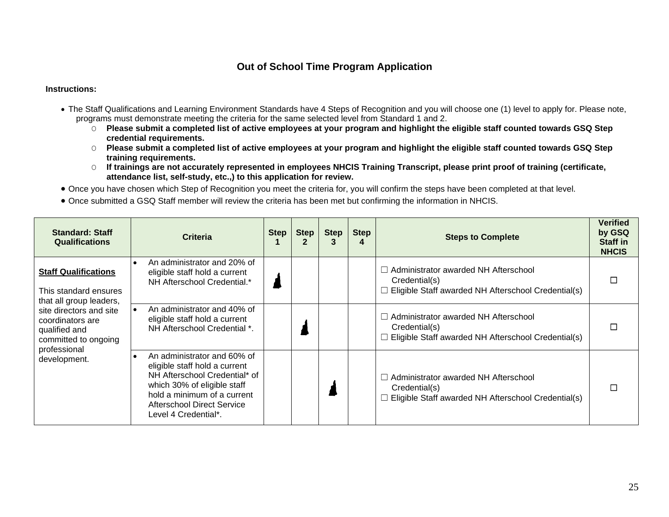### **Out of School Time Program Application**

- The Staff Qualifications and Learning Environment Standards have 4 Steps of Recognition and you will choose one (1) level to apply for. Please note, programs must demonstrate meeting the criteria for the same selected level from Standard 1 and 2.
	- O **Please submit a completed list of active employees at your program and highlight the eligible staff counted towards GSQ Step credential requirements.**
	- O **Please submit a completed list of active employees at your program and highlight the eligible staff counted towards GSQ Step training requirements.**
	- O **If trainings are not accurately represented in employees NHCIS Training Transcript, please print proof of training (certificate, attendance list, self-study, etc.,) to this application for review.**
- Once you have chosen which Step of Recognition you meet the criteria for, you will confirm the steps have been completed at that level.
- Once submitted a GSQ Staff member will review the criteria has been met but confirming the information in NHCIS.

| <b>Standard: Staff</b><br><b>Qualifications</b>                                                                      | <b>Criteria</b>                                                                                                                                                                                                          | Step | <b>Step</b> | <b>Step</b> | <b>Step</b><br>4 | <b>Steps to Complete</b>                                                                                                   | <b>Verified</b><br>by GSQ<br><b>Staff in</b><br><b>NHCIS</b> |
|----------------------------------------------------------------------------------------------------------------------|--------------------------------------------------------------------------------------------------------------------------------------------------------------------------------------------------------------------------|------|-------------|-------------|------------------|----------------------------------------------------------------------------------------------------------------------------|--------------------------------------------------------------|
| <b>Staff Qualifications</b><br>This standard ensures<br>that all group leaders,                                      | An administrator and 20% of<br>$\bullet$<br>eligible staff hold a current<br>NH Afterschool Credential.*                                                                                                                 |      |             |             |                  | $\Box$ Administrator awarded NH Afterschool<br>Credential(s)<br>$\Box$ Eligible Staff awarded NH Afterschool Credential(s) |                                                              |
| site directors and site<br>coordinators are<br>qualified and<br>committed to ongoing<br>professional<br>development. | An administrator and 40% of<br>$\bullet$<br>eligible staff hold a current<br>NH Afterschool Credential *.                                                                                                                |      |             |             |                  | $\Box$ Administrator awarded NH Afterschool<br>Credential(s)<br>$\Box$ Eligible Staff awarded NH Afterschool Credential(s) |                                                              |
|                                                                                                                      | An administrator and 60% of<br>eligible staff hold a current<br>NH Afterschool Credential* of<br>which 30% of eligible staff<br>hold a minimum of a current<br><b>Afterschool Direct Service</b><br>Level 4 Credential*. |      |             |             |                  | $\Box$ Administrator awarded NH Afterschool<br>Credential(s)<br>$\Box$ Eligible Staff awarded NH Afterschool Credential(s) |                                                              |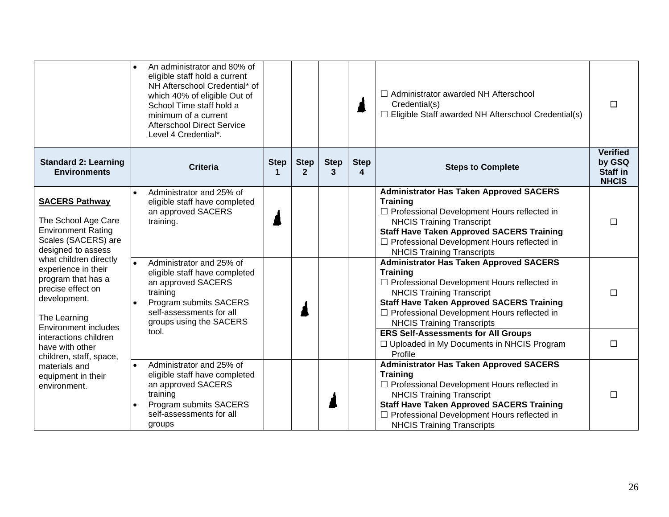|                                                                                                                                                                                  | An administrator and 80% of<br>$\bullet$<br>eligible staff hold a current<br>NH Afterschool Credential* of<br>which 40% of eligible Out of<br>School Time staff hold a<br>minimum of a current<br><b>Afterschool Direct Service</b><br>Level 4 Credential*. |                  |                             |                  |                  | □ Administrator awarded NH Afterschool<br>Credential(s)<br>$\Box$ Eligible Staff awarded NH Afterschool Credential(s)                                                                                                                                                                                                                                    | $\Box$                                                       |
|----------------------------------------------------------------------------------------------------------------------------------------------------------------------------------|-------------------------------------------------------------------------------------------------------------------------------------------------------------------------------------------------------------------------------------------------------------|------------------|-----------------------------|------------------|------------------|----------------------------------------------------------------------------------------------------------------------------------------------------------------------------------------------------------------------------------------------------------------------------------------------------------------------------------------------------------|--------------------------------------------------------------|
| <b>Standard 2: Learning</b><br><b>Environments</b>                                                                                                                               | <b>Criteria</b>                                                                                                                                                                                                                                             | <b>Step</b><br>1 | <b>Step</b><br>$\mathbf{2}$ | <b>Step</b><br>3 | <b>Step</b><br>4 | <b>Steps to Complete</b>                                                                                                                                                                                                                                                                                                                                 | <b>Verified</b><br>by GSQ<br><b>Staff in</b><br><b>NHCIS</b> |
| <b>SACERS Pathway</b><br>The School Age Care<br><b>Environment Rating</b><br>Scales (SACERS) are<br>designed to assess                                                           | Administrator and 25% of<br>eligible staff have completed<br>an approved SACERS<br>training.                                                                                                                                                                |                  |                             |                  |                  | <b>Administrator Has Taken Approved SACERS</b><br><b>Training</b><br>□ Professional Development Hours reflected in<br><b>NHCIS Training Transcript</b><br><b>Staff Have Taken Approved SACERS Training</b><br>□ Professional Development Hours reflected in<br><b>NHCIS Training Transcripts</b>                                                         | $\Box$                                                       |
| what children directly<br>experience in their<br>program that has a<br>precise effect on<br>development.<br>The Learning<br><b>Environment includes</b><br>interactions children | Administrator and 25% of<br>$\bullet$<br>eligible staff have completed<br>an approved SACERS<br>training<br>Program submits SACERS<br>self-assessments for all<br>groups using the SACERS<br>tool.                                                          |                  |                             |                  |                  | <b>Administrator Has Taken Approved SACERS</b><br><b>Training</b><br>$\Box$ Professional Development Hours reflected in<br><b>NHCIS Training Transcript</b><br><b>Staff Have Taken Approved SACERS Training</b><br>$\Box$ Professional Development Hours reflected in<br><b>NHCIS Training Transcripts</b><br><b>ERS Self-Assessments for All Groups</b> | $\Box$                                                       |
| have with other<br>children, staff, space,                                                                                                                                       |                                                                                                                                                                                                                                                             |                  |                             |                  |                  | □ Uploaded in My Documents in NHCIS Program<br>Profile                                                                                                                                                                                                                                                                                                   | $\Box$                                                       |
| materials and<br>equipment in their<br>environment.                                                                                                                              | Administrator and 25% of<br>$\bullet$<br>eligible staff have completed<br>an approved SACERS<br>training<br>Program submits SACERS<br>self-assessments for all<br>groups                                                                                    |                  |                             |                  |                  | <b>Administrator Has Taken Approved SACERS</b><br><b>Training</b><br>□ Professional Development Hours reflected in<br><b>NHCIS Training Transcript</b><br><b>Staff Have Taken Approved SACERS Training</b><br>□ Professional Development Hours reflected in<br><b>NHCIS Training Transcripts</b>                                                         | $\Box$                                                       |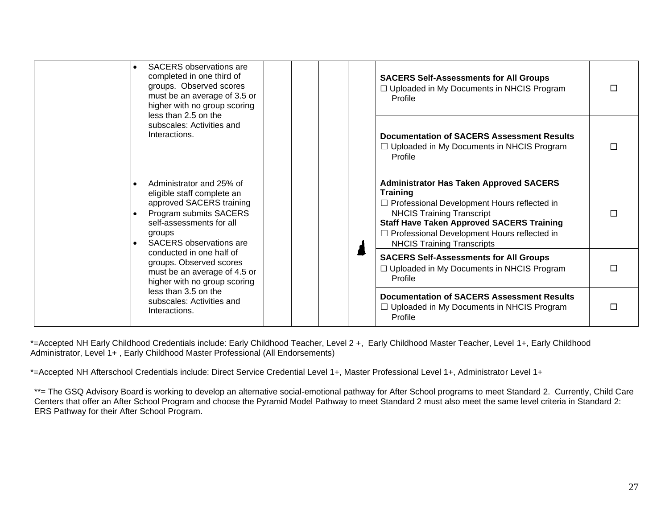|  | <b>SACERS</b> observations are<br>completed in one third of<br>groups. Observed scores<br>must be an average of 3.5 or<br>higher with no group scoring<br>less than 2.5 on the       | Profile         | <b>SACERS Self-Assessments for All Groups</b><br>□ Uploaded in My Documents in NHCIS Program                                                                                                                                                                                       |  |
|--|--------------------------------------------------------------------------------------------------------------------------------------------------------------------------------------|-----------------|------------------------------------------------------------------------------------------------------------------------------------------------------------------------------------------------------------------------------------------------------------------------------------|--|
|  | subscales: Activities and<br>Interactions.                                                                                                                                           | Profile         | Documentation of SACERS Assessment Results<br>$\Box$ Uploaded in My Documents in NHCIS Program                                                                                                                                                                                     |  |
|  | Administrator and 25% of<br>eligible staff complete an<br>approved SACERS training<br>Program submits SACERS<br>self-assessments for all<br>groups<br><b>SACERS</b> observations are | <b>Training</b> | <b>Administrator Has Taken Approved SACERS</b><br>$\Box$ Professional Development Hours reflected in<br><b>NHCIS Training Transcript</b><br><b>Staff Have Taken Approved SACERS Training</b><br>□ Professional Development Hours reflected in<br><b>NHCIS Training Transcripts</b> |  |
|  | conducted in one half of<br>groups. Observed scores<br>must be an average of 4.5 or<br>higher with no group scoring                                                                  | Profile         | <b>SACERS Self-Assessments for All Groups</b><br>□ Uploaded in My Documents in NHCIS Program                                                                                                                                                                                       |  |
|  | less than 3.5 on the<br>subscales: Activities and<br>Interactions.                                                                                                                   | Profile         | <b>Documentation of SACERS Assessment Results</b><br>$\Box$ Uploaded in My Documents in NHCIS Program                                                                                                                                                                              |  |

\*=Accepted NH Early Childhood Credentials include: Early Childhood Teacher, Level 2 +, Early Childhood Master Teacher, Level 1+, Early Childhood Administrator, Level 1+, Early Childhood Master Professional (All Endorsements)

\*=Accepted NH Afterschool Credentials include: Direct Service Credential Level 1+, Master Professional Level 1+, Administrator Level 1+

\*\*= The GSQ Advisory Board is working to develop an alternative social-emotional pathway for After School programs to meet Standard 2. Currently, Child Care Centers that offer an After School Program and choose the Pyramid Model Pathway to meet Standard 2 must also meet the same level criteria in Standard 2: ERS Pathway for their After School Program.